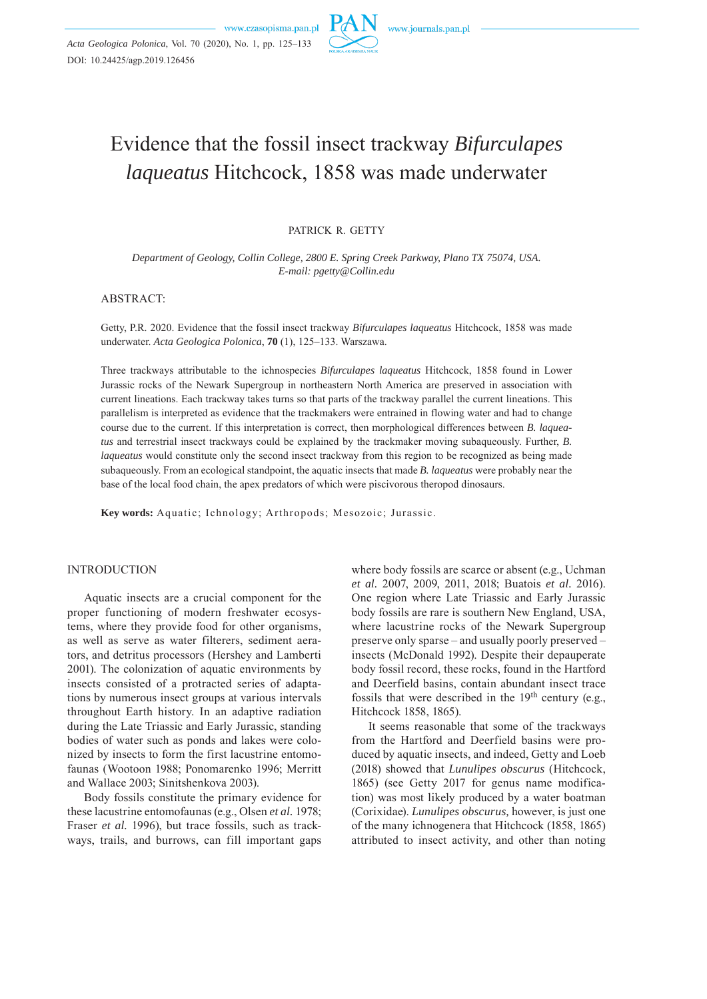

# Evidence that the fossil insect trackway *Bifurculapes laqueatus* Hitchcock, 1858 was made underwater

PATRICK R. GETTY

*Department of Geology, Collin College, 2800 E. Spring Creek Parkway, Plano TX 75074, USA. E-mail: pgetty@Collin.edu*

ABSTRACT:

Getty, P.R. 2020. Evidence that the fossil insect trackway *Bifurculapes laqueatus* Hitchcock, 1858 was made underwater. *Acta Geologica Polonica*, **70** (1), 125–133. Warszawa.

Three trackways attributable to the ichnospecies *Bifurculapes laqueatus* Hitchcock, 1858 found in Lower Jurassic rocks of the Newark Supergroup in northeastern North America are preserved in association with current lineations. Each trackway takes turns so that parts of the trackway parallel the current lineations. This parallelism is interpreted as evidence that the trackmakers were entrained in flowing water and had to change course due to the current. If this interpretation is correct, then morphological differences between *B. laqueatus* and terrestrial insect trackways could be explained by the trackmaker moving subaqueously. Further, *B. laqueatus* would constitute only the second insect trackway from this region to be recognized as being made subaqueously. From an ecological standpoint, the aquatic insects that made *B. laqueatus* were probably near the base of the local food chain, the apex predators of which were piscivorous theropod dinosaurs.

**Key words:** Aquatic; Ichnology; Arthropods; Mesozoic; Jurassic.

#### INTRODUCTION

Aquatic insects are a crucial component for the proper functioning of modern freshwater ecosystems, where they provide food for other organisms, as well as serve as water filterers, sediment aerators, and detritus processors (Hershey and Lamberti 2001). The colonization of aquatic environments by insects consisted of a protracted series of adaptations by numerous insect groups at various intervals throughout Earth history. In an adaptive radiation during the Late Triassic and Early Jurassic, standing bodies of water such as ponds and lakes were colonized by insects to form the first lacustrine entomofaunas (Wootoon 1988; Ponomarenko 1996; Merritt and Wallace 2003; Sinitshenkova 2003).

Body fossils constitute the primary evidence for these lacustrine entomofaunas (e.g., Olsen *et al.* 1978; Fraser *et al.* 1996), but trace fossils, such as trackways, trails, and burrows, can fill important gaps

where body fossils are scarce or absent (e.g., Uchman *et al.* 2007, 2009, 2011, 2018; Buatois *et al.* 2016). One region where Late Triassic and Early Jurassic body fossils are rare is southern New England, USA, where lacustrine rocks of the Newark Supergroup preserve only sparse – and usually poorly preserved – insects (McDonald 1992). Despite their depauperate body fossil record, these rocks, found in the Hartford and Deerfield basins, contain abundant insect trace fossils that were described in the  $19<sup>th</sup>$  century (e.g., Hitchcock 1858, 1865).

It seems reasonable that some of the trackways from the Hartford and Deerfield basins were produced by aquatic insects, and indeed, Getty and Loeb (2018) showed that *Lunulipes obscurus* (Hitchcock, 1865) (see Getty 2017 for genus name modification) was most likely produced by a water boatman (Corixidae). *Lunulipes obscurus,* however, is just one of the many ichnogenera that Hitchcock (1858, 1865) attributed to insect activity, and other than noting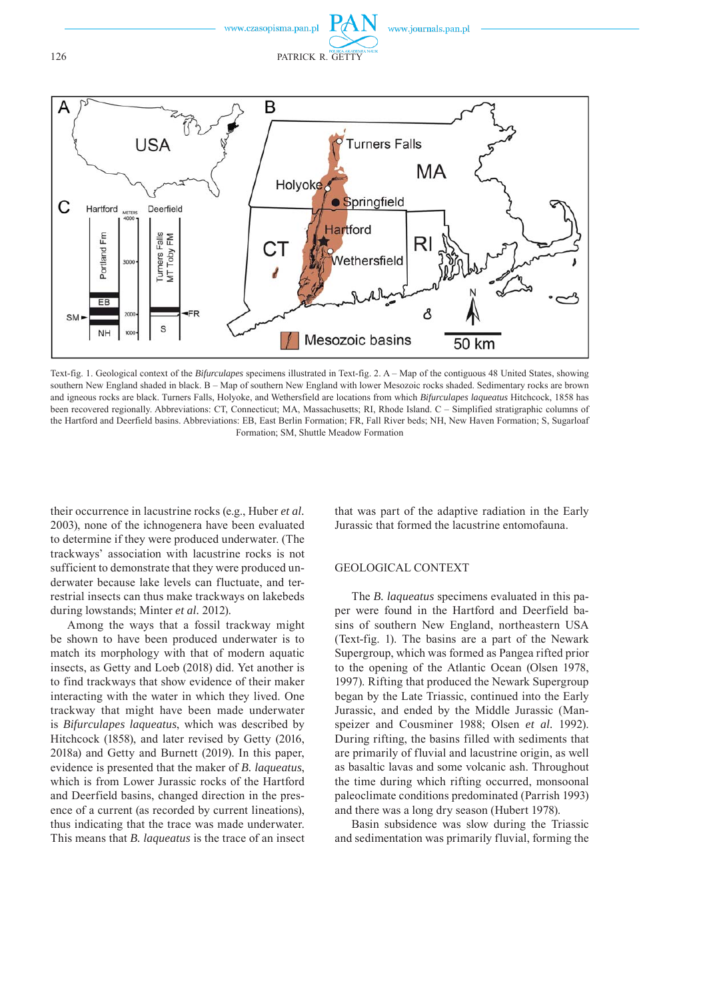

Text-fig. 1. Geological context of the *Bifurculapes* specimens illustrated in Text-fig. 2. A – Map of the contiguous 48 United States, showing southern New England shaded in black. B – Map of southern New England with lower Mesozoic rocks shaded. Sedimentary rocks are brown and igneous rocks are black. Turners Falls, Holyoke, and Wethersfield are locations from which *Bifurculapes laqueatus* Hitchcock, 1858 has been recovered regionally. Abbreviations: CT, Connecticut; MA, Massachusetts; RI, Rhode Island. C – Simplified stratigraphic columns of the Hartford and Deerfield basins. Abbreviations: EB, East Berlin Formation; FR, Fall River beds; NH, New Haven Formation; S, Sugarloaf Formation; SM, Shuttle Meadow Formation

their occurrence in lacustrine rocks (e.g., Huber *et al.* 2003), none of the ichnogenera have been evaluated to determine if they were produced underwater. (The trackways' association with lacustrine rocks is not sufficient to demonstrate that they were produced underwater because lake levels can fluctuate, and terrestrial insects can thus make trackways on lakebeds during lowstands; Minter *et al.* 2012).

Among the ways that a fossil trackway might be shown to have been produced underwater is to match its morphology with that of modern aquatic insects, as Getty and Loeb (2018) did. Yet another is to find trackways that show evidence of their maker interacting with the water in which they lived. One trackway that might have been made underwater is *Bifurculapes laqueatus*, which was described by Hitchcock (1858), and later revised by Getty (2016, 2018a) and Getty and Burnett (2019). In this paper, evidence is presented that the maker of *B. laqueatus*, which is from Lower Jurassic rocks of the Hartford and Deerfield basins, changed direction in the presence of a current (as recorded by current lineations), thus indicating that the trace was made underwater. This means that *B. laqueatus* is the trace of an insect that was part of the adaptive radiation in the Early Jurassic that formed the lacustrine entomofauna.

# GEOLOGICAL CONTEXT

The *B. laqueatus* specimens evaluated in this paper were found in the Hartford and Deerfield basins of southern New England, northeastern USA (Text-fig. 1). The basins are a part of the Newark Supergroup, which was formed as Pangea rifted prior to the opening of the Atlantic Ocean (Olsen 1978, 1997). Rifting that produced the Newark Supergroup began by the Late Triassic, continued into the Early Jurassic, and ended by the Middle Jurassic (Manspeizer and Cousminer 1988; Olsen *et al.* 1992). During rifting, the basins filled with sediments that are primarily of fluvial and lacustrine origin, as well as basaltic lavas and some volcanic ash. Throughout the time during which rifting occurred, monsoonal paleoclimate conditions predominated (Parrish 1993) and there was a long dry season (Hubert 1978).

Basin subsidence was slow during the Triassic and sedimentation was primarily fluvial, forming the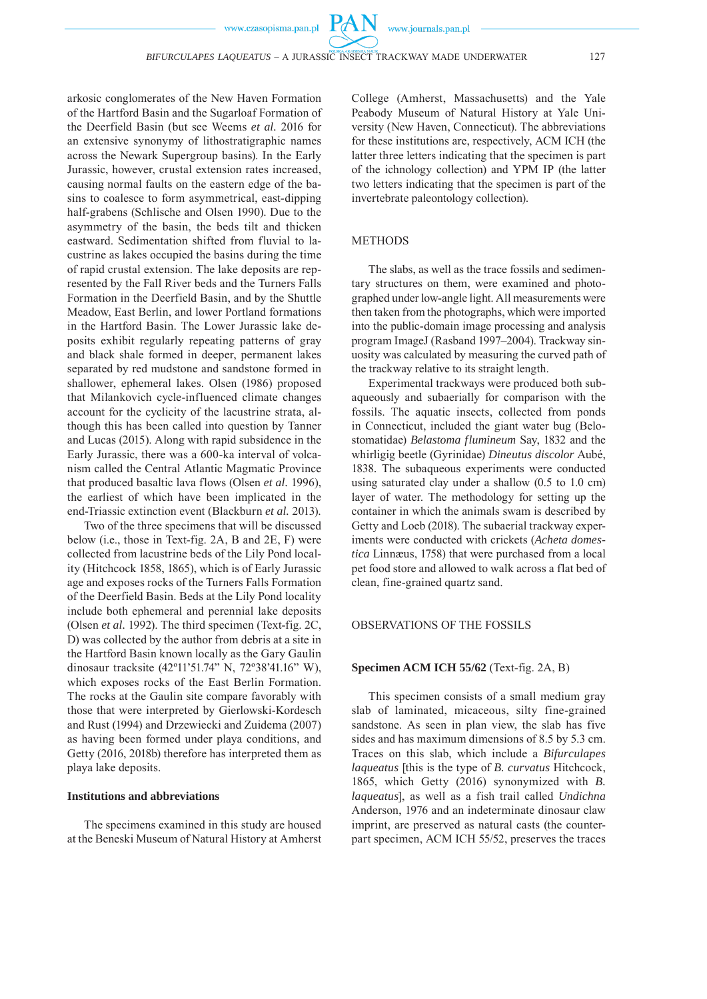$PA$ 

arkosic conglomerates of the New Haven Formation of the Hartford Basin and the Sugarloaf Formation of the Deerfield Basin (but see Weems *et al.* 2016 for an extensive synonymy of lithostratigraphic names across the Newark Supergroup basins). In the Early Jurassic, however, crustal extension rates increased, causing normal faults on the eastern edge of the basins to coalesce to form asymmetrical, east-dipping half-grabens (Schlische and Olsen 1990). Due to the asymmetry of the basin, the beds tilt and thicken eastward. Sedimentation shifted from fluvial to lacustrine as lakes occupied the basins during the time of rapid crustal extension. The lake deposits are represented by the Fall River beds and the Turners Falls Formation in the Deerfield Basin, and by the Shuttle Meadow, East Berlin, and lower Portland formations in the Hartford Basin. The Lower Jurassic lake deposits exhibit regularly repeating patterns of gray and black shale formed in deeper, permanent lakes separated by red mudstone and sandstone formed in shallower, ephemeral lakes. Olsen (1986) proposed that Milankovich cycle-influenced climate changes account for the cyclicity of the lacustrine strata, although this has been called into question by Tanner and Lucas (2015). Along with rapid subsidence in the Early Jurassic, there was a 600-ka interval of volcanism called the Central Atlantic Magmatic Province that produced basaltic lava flows (Olsen *et al.* 1996), the earliest of which have been implicated in the end-Triassic extinction event (Blackburn *et al.* 2013).

Two of the three specimens that will be discussed below (i.e., those in Text-fig. 2A, B and 2E, F) were collected from lacustrine beds of the Lily Pond locality (Hitchcock 1858, 1865), which is of Early Jurassic age and exposes rocks of the Turners Falls Formation of the Deerfield Basin. Beds at the Lily Pond locality include both ephemeral and perennial lake deposits (Olsen *et al.* 1992). The third specimen (Text-fig. 2C, D) was collected by the author from debris at a site in the Hartford Basin known locally as the Gary Gaulin dinosaur tracksite (42º11'51.74" N, 72º38'41.16" W), which exposes rocks of the East Berlin Formation. The rocks at the Gaulin site compare favorably with those that were interpreted by Gierlowski-Kordesch and Rust (1994) and Drzewiecki and Zuidema (2007) as having been formed under playa conditions, and Getty (2016, 2018b) therefore has interpreted them as playa lake deposits.

# **Institutions and abbreviations**

The specimens examined in this study are housed at the Beneski Museum of Natural History at Amherst College (Amherst, Massachusetts) and the Yale Peabody Museum of Natural History at Yale University (New Haven, Connecticut). The abbreviations for these institutions are, respectively, ACM ICH (the latter three letters indicating that the specimen is part of the ichnology collection) and YPM IP (the latter two letters indicating that the specimen is part of the invertebrate paleontology collection).

# METHODS

The slabs, as well as the trace fossils and sedimentary structures on them, were examined and photographed under low-angle light. All measurements were then taken from the photographs, which were imported into the public-domain image processing and analysis program ImageJ (Rasband 1997–2004). Trackway sinuosity was calculated by measuring the curved path of the trackway relative to its straight length.

Experimental trackways were produced both subaqueously and subaerially for comparison with the fossils. The aquatic insects, collected from ponds in Connecticut, included the giant water bug (Belostomatidae) *Belastoma flumineum* Say, 1832 and the whirligig beetle (Gyrinidae) *Dineutus discolor* Aubé, 1838*.* The subaqueous experiments were conducted using saturated clay under a shallow (0.5 to 1.0 cm) layer of water. The methodology for setting up the container in which the animals swam is described by Getty and Loeb (2018). The subaerial trackway experiments were conducted with crickets (*Acheta domestica* Linnæus, 1758) that were purchased from a local pet food store and allowed to walk across a flat bed of clean, fine-grained quartz sand.

#### OBSERVATIONS OF THE FOSSILS

# **Specimen ACM ICH 55/62** (Text-fig. 2A, B)

This specimen consists of a small medium gray slab of laminated, micaceous, silty fine-grained sand stone. As seen in plan view, the slab has five sides and has maximum dimensions of 8.5 by 5.3 cm. Traces on this slab, which include a *Bifurculapes laqueatus* [this is the type of *B. curvatus* Hitchcock, 1865, which Getty (2016) synonymized with *B. laqueatus*], as well as a fish trail called *Undichna* Anderson, 1976 and an indeterminate dinosaur claw imprint, are preserved as natural casts (the counterpart specimen, ACM ICH 55/52, preserves the traces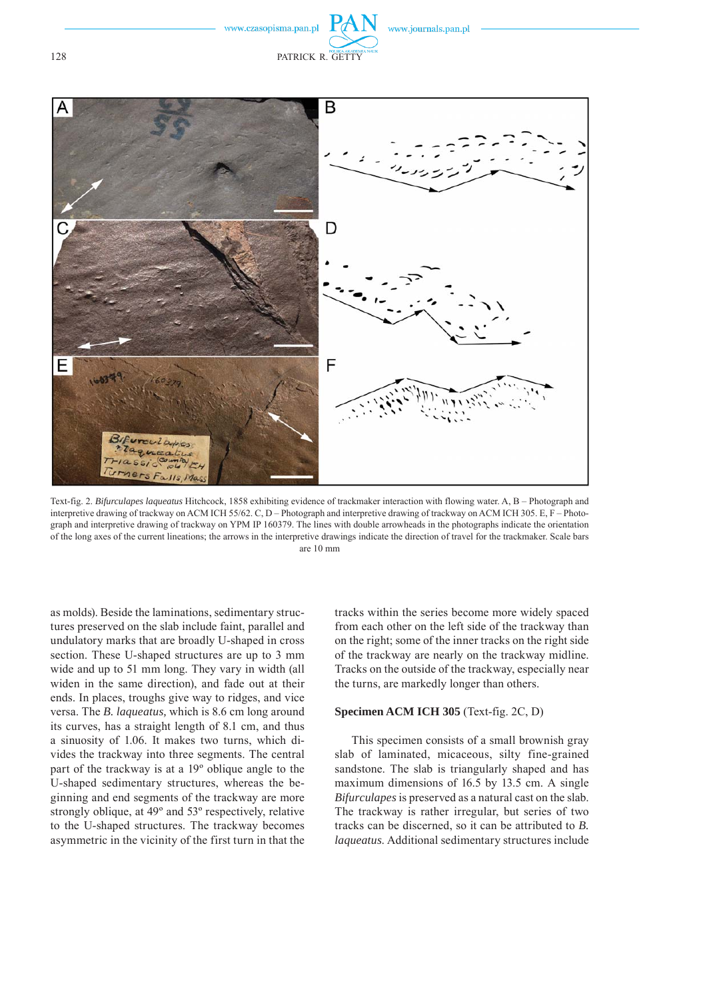www.journals.pan.pl



Text-fig. 2. *Bifurculapes laqueatus* Hitchcock, 1858 exhibiting evidence of trackmaker interaction with flowing water. A, B – Photograph and interpretive drawing of trackway on ACM ICH 55/62. C, D – Photograph and interpretive drawing of trackway on ACM ICH 305. E, F – Photograph and interpretive drawing of trackway on YPM IP 160379. The lines with double arrowheads in the photographs indicate the orientation of the long axes of the current lineations; the arrows in the interpretive drawings indicate the direction of travel for the trackmaker. Scale bars are 10 mm

as molds). Beside the laminations, sedimentary structures preserved on the slab include faint, parallel and undulatory marks that are broadly U-shaped in cross section. These U-shaped structures are up to 3 mm wide and up to 51 mm long. They vary in width (all widen in the same direction), and fade out at their ends. In places, troughs give way to ridges, and vice versa. The *B. laqueatus,* which is 8.6 cm long around its curves, has a straight length of 8.1 cm, and thus a sinuosity of 1.06. It makes two turns, which divides the trackway into three segments. The central part of the trackway is at a 19º oblique angle to the U-shaped sedimentary structures, whereas the beginning and end segments of the trackway are more strongly oblique, at 49º and 53º respectively, relative to the U-shaped structures. The trackway becomes asymmetric in the vicinity of the first turn in that the tracks within the series become more widely spaced from each other on the left side of the trackway than on the right; some of the inner tracks on the right side of the trackway are nearly on the trackway midline. Tracks on the outside of the trackway, especially near the turns, are markedly longer than others.

# **Specimen ACM ICH 305** (Text-fig. 2C, D)

This specimen consists of a small brownish gray slab of laminated, micaceous, silty fine-grained sandstone. The slab is triangularly shaped and has maximum dimensions of 16.5 by 13.5 cm. A single *Bifurculapes* is preserved as a natural cast on the slab. The trackway is rather irregular, but series of two tracks can be discerned, so it can be attributed to *B. laqueatus*. Additional sedimentary structures include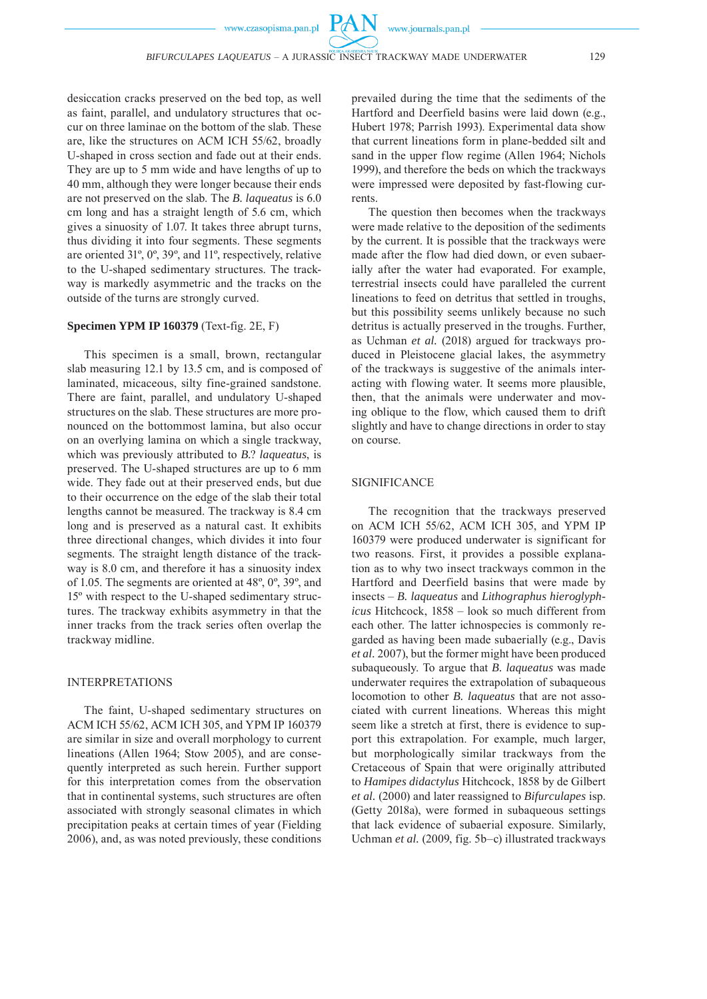$PA$ 

desiccation cracks preserved on the bed top, as well as faint, parallel, and undulatory structures that occur on three laminae on the bottom of the slab. These are, like the structures on ACM ICH 55/62, broadly U-shaped in cross section and fade out at their ends. They are up to 5 mm wide and have lengths of up to 40 mm, although they were longer because their ends are not preserved on the slab. The *B. laqueatus* is 6.0 cm long and has a straight length of 5.6 cm, which gives a sinuosity of 1.07. It takes three abrupt turns, thus dividing it into four segments. These segments are oriented 31º, 0º, 39º, and 11º, respectively, relative to the U-shaped sedimentary structures. The trackway is markedly asymmetric and the tracks on the outside of the turns are strongly curved.

# **Specimen YPM IP 160379** (Text-fig. 2E, F)

This specimen is a small, brown, rectangular slab measuring 12.1 by 13.5 cm, and is composed of laminated, micaceous, silty fine-grained sandstone. There are faint, parallel, and undulatory U-shaped structures on the slab. These structures are more pronounced on the bottommost lamina, but also occur on an overlying lamina on which a single trackway, which was previously attributed to *B.*? *laqueatus*, is preserved. The U-shaped structures are up to 6 mm wide. They fade out at their preserved ends, but due to their occurrence on the edge of the slab their total lengths cannot be measured. The trackway is 8.4 cm long and is preserved as a natural cast. It exhibits three directional changes, which divides it into four segments. The straight length distance of the trackway is 8.0 cm, and therefore it has a sinuosity index of 1.05. The segments are oriented at 48º, 0º, 39º, and 15º with respect to the U-shaped sedimentary structures. The trackway exhibits asymmetry in that the inner tracks from the track series often overlap the trackway midline.

#### INTERPRETATIONS

The faint, U-shaped sedimentary structures on ACM ICH 55/62, ACM ICH 305, and YPM IP 160379 are similar in size and overall morphology to current lineations (Allen 1964; Stow 2005), and are consequently interpreted as such herein. Further support for this interpretation comes from the observation that in continental systems, such structures are often associated with strongly seasonal climates in which precipitation peaks at certain times of year (Fielding 2006), and, as was noted previously, these conditions

prevailed during the time that the sediments of the Hartford and Deerfield basins were laid down (e.g., Hubert 1978; Parrish 1993). Experimental data show that current lineations form in plane-bedded silt and sand in the upper flow regime (Allen 1964; Nichols 1999), and therefore the beds on which the trackways were impressed were deposited by fast-flowing currents.

The question then becomes when the trackways were made relative to the deposition of the sediments by the current. It is possible that the trackways were made after the flow had died down, or even subaerially after the water had evaporated. For example, terrestrial insects could have paralleled the current lineations to feed on detritus that settled in troughs, but this possibility seems unlikely because no such detritus is actually preserved in the troughs. Further, as Uchman *et al.* (2018) argued for trackways produced in Pleistocene glacial lakes, the asymmetry of the trackways is suggestive of the animals interacting with flowing water. It seems more plausible, then, that the animals were underwater and moving oblique to the flow, which caused them to drift slightly and have to change directions in order to stay on course.

# **SIGNIFICANCE**

The recognition that the trackways preserved on ACM ICH 55/62, ACM ICH 305, and YPM IP 160379 were produced underwater is significant for two reasons. First, it provides a possible explanation as to why two insect trackways common in the Hartford and Deerfield basins that were made by insects – *B. laqueatus* and *Lithographus hieroglyphicus* Hitchcock, 1858 – look so much different from each other. The latter ichnospecies is commonly regarded as having been made subaerially (e.g., Davis *et al.* 2007), but the former might have been produced subaqueously. To argue that *B. laqueatus* was made underwater requires the extrapolation of subaqueous locomotion to other *B. laqueatus* that are not associated with current lineations. Whereas this might seem like a stretch at first, there is evidence to support this extrapolation. For example, much larger, but morphologically similar trackways from the Cretaceous of Spain that were originally attributed to *Hamipes didactylus* Hitchcock, 1858 by de Gilbert *et al.* (2000) and later reassigned to *Bifurculapes* isp. (Getty 2018a), were formed in subaqueous settings that lack evidence of subaerial exposure. Similarly, Uchman *et al.* (2009, fig. 5b–c) illustrated trackways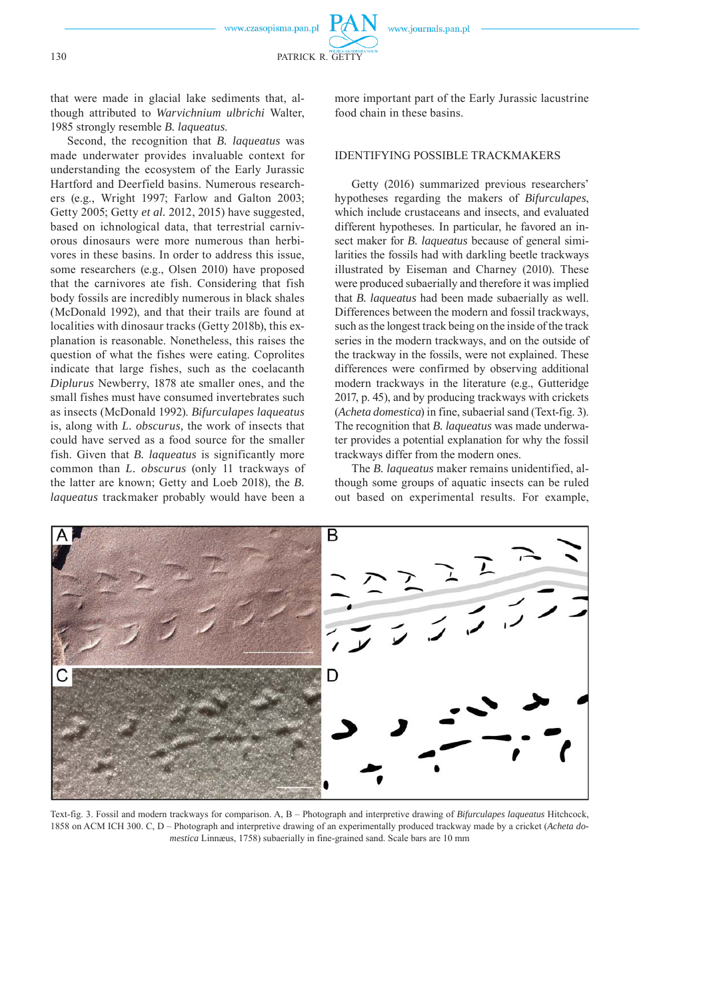130 PATRICK R. GETTY

that were made in glacial lake sediments that, although attributed to *Warvichnium ulbrichi* Walter, 1985 strongly resemble *B. laqueatus*.

Second, the recognition that *B. laqueatus* was made underwater provides invaluable context for understanding the ecosystem of the Early Jurassic Hartford and Deerfield basins. Numerous researchers (e.g., Wright 1997; Farlow and Galton 2003; Getty 2005; Getty *et al.* 2012, 2015) have suggested, based on ichnological data, that terrestrial carnivorous dinosaurs were more numerous than herbivores in these basins. In order to address this issue, some researchers (e.g., Olsen 2010) have proposed that the carnivores ate fish. Considering that fish body fossils are incredibly numerous in black shales (McDonald 1992), and that their trails are found at localities with dinosaur tracks (Getty 2018b), this explanation is reasonable. Nonetheless, this raises the question of what the fishes were eating. Coprolites indicate that large fishes, such as the coelacanth *Diplurus* Newberry, 1878 ate smaller ones, and the small fishes must have consumed invertebrates such as insects (McDonald 1992). *Bifurculapes laqueatus* is, along with *L. obscurus,* the work of insects that could have served as a food source for the smaller fish. Given that *B. laqueatus* is significantly more common than *L. obscurus* (only 11 trackways of the latter are known; Getty and Loeb 2018), the *B. laqueatus* trackmaker probably would have been a more important part of the Early Jurassic lacustrine food chain in these basins.

# IDENTIFYING POSSIBLE TRACKMAKERS

Getty (2016) summarized previous researchers' hypotheses regarding the makers of *Bifurculapes*, which include crustaceans and insects, and evaluated different hypotheses. In particular, he favored an insect maker for *B. laqueatus* because of general similarities the fossils had with darkling beetle trackways illustrated by Eiseman and Charney (2010). These were produced subaerially and therefore it was implied that *B. laqueatus* had been made subaerially as well. Differences between the modern and fossil trackways, such as the longest track being on the inside of the track series in the modern trackways, and on the outside of the trackway in the fossils, were not explained. These differences were confirmed by observing additional modern trackways in the literature (e.g., Gutteridge 2017, p. 45), and by producing trackways with crickets (*Acheta domestica*) in fine, subaerial sand (Text-fig. 3). The recognition that *B. laqueatus* was made underwater provides a potential explanation for why the fossil trackways differ from the modern ones.

The *B. laqueatus* maker remains unidentified, although some groups of aquatic insects can be ruled out based on experimental results. For example,



Text-fig. 3. Fossil and modern trackways for comparison. A, B – Photograph and interpretive drawing of *Bifurculapes laqueatus* Hitchcock, 1858 on ACM ICH 300. C, D – Photograph and interpretive drawing of an experimentally produced trackway made by a cricket (*Acheta domestica* Linnæus, 1758) subaerially in fine-grained sand. Scale bars are 10 mm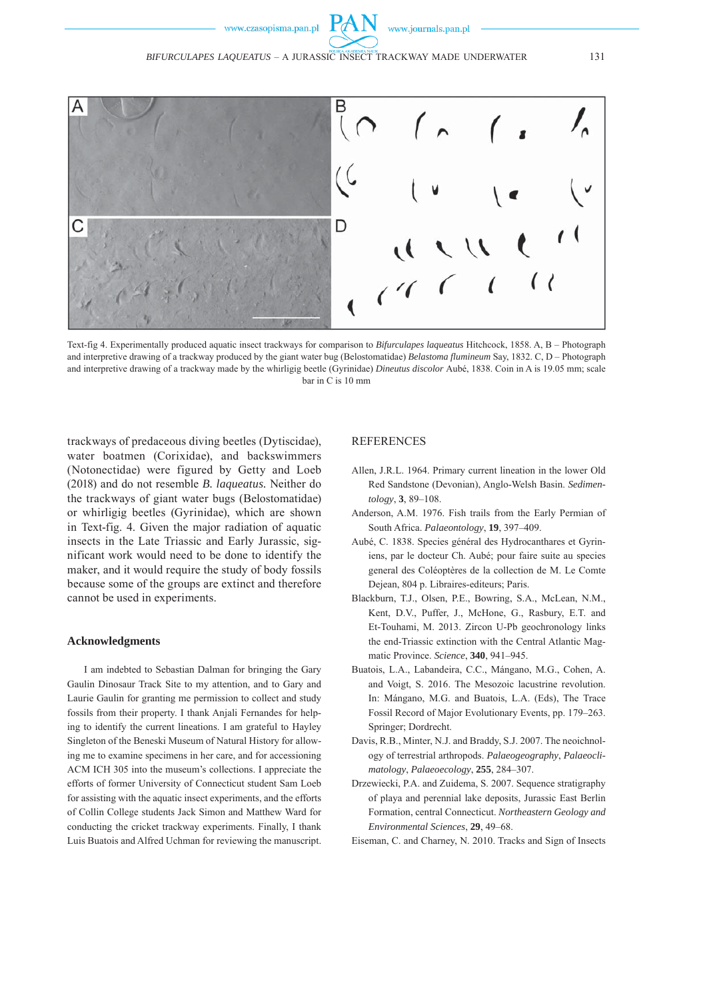

Text-fig 4. Experimentally produced aquatic insect trackways for comparison to *Bifurculapes laqueatus* Hitchcock, 1858. A, B – Photograph and interpretive drawing of a trackway produced by the giant water bug (Belostomatidae) *Belastoma flumineum* Say, 1832. C, D – Photograph and interpretive drawing of a trackway made by the whirligig beetle (Gyrinidae) *Dineutus discolor* Aubé, 1838. Coin in A is 19.05 mm; scale bar in C is 10 mm

trackways of predaceous diving beetles (Dytiscidae), water boatmen (Corixidae), and backswimmers (Notonectidae) were figured by Getty and Loeb (2018) and do not resemble *B. laqueatus.* Neither do the trackways of giant water bugs (Belostomatidae) or whirligig beetles (Gyrinidae), which are shown in Text-fig. 4. Given the major radiation of aquatic insects in the Late Triassic and Early Jurassic, significant work would need to be done to identify the maker, and it would require the study of body fossils because some of the groups are extinct and therefore cannot be used in experiments.

#### **Acknowledgments**

I am indebted to Sebastian Dalman for bringing the Gary Gaulin Dinosaur Track Site to my attention, and to Gary and Laurie Gaulin for granting me permission to collect and study fossils from their property. I thank Anjali Fernandes for helping to identify the current lineations. I am grateful to Hayley Singleton of the Beneski Museum of Natural History for allowing me to examine specimens in her care, and for accessioning ACM ICH 305 into the museum's collections. I appreciate the efforts of former University of Connecticut student Sam Loeb for assisting with the aquatic insect experiments, and the efforts of Collin College students Jack Simon and Matthew Ward for conducting the cricket trackway experiments. Finally, I thank Luis Buatois and Alfred Uchman for reviewing the manuscript.

# REFERENCES

- Allen, J.R.L. 1964. Primary current lineation in the lower Old Red Sandstone (Devonian), Anglo-Welsh Basin. *Sedimentology*, **3**, 89–108.
- Anderson, A.M. 1976. Fish trails from the Early Permian of South Africa. *Palaeontology*, **19**, 397–409.
- Aubé, C. 1838. Species général des Hydrocanthares et Gyriniens, par le docteur Ch. Aubé; pour faire suite au species general des Coléoptères de la collection de M. Le Comte Dejean, 804 p. Libraires-editeurs; Paris.
- Blackburn, T.J., Olsen, P.E., Bowring, S.A., McLean, N.M., Kent, D.V., Puffer, J., McHone, G., Rasbury, E.T. and Et-Touhami, M. 2013. Zircon U-Pb geochronology links the end-Triassic extinction with the Central Atlantic Magmatic Province. *Science*, **340**, 941–945.
- Buatois, L.A., Labandeira, C.C., Mángano, M.G., Cohen, A. and Voigt, S. 2016. The Mesozoic lacustrine revolution. In: Mángano, M.G. and Buatois, L.A. (Eds), The Trace Fossil Record of Major Evolutionary Events, pp. 179–263. Springer; Dordrecht.
- Davis, R.B., Minter, N.J. and Braddy, S.J. 2007. The neoichnology of terrestrial arthropods. *Palaeogeography*, *Palaeoclimatology*, *Palaeoecology*, **255**, 284–307.
- Drzewiecki, P.A. and Zuidema, S. 2007. Sequence stratigraphy of playa and perennial lake deposits, Jurassic East Berlin Formation, central Connecticut. *Northeastern Geology and Environmental Sciences*, **29**, 49–68.
- Eiseman, C. and Charney, N. 2010. Tracks and Sign of Insects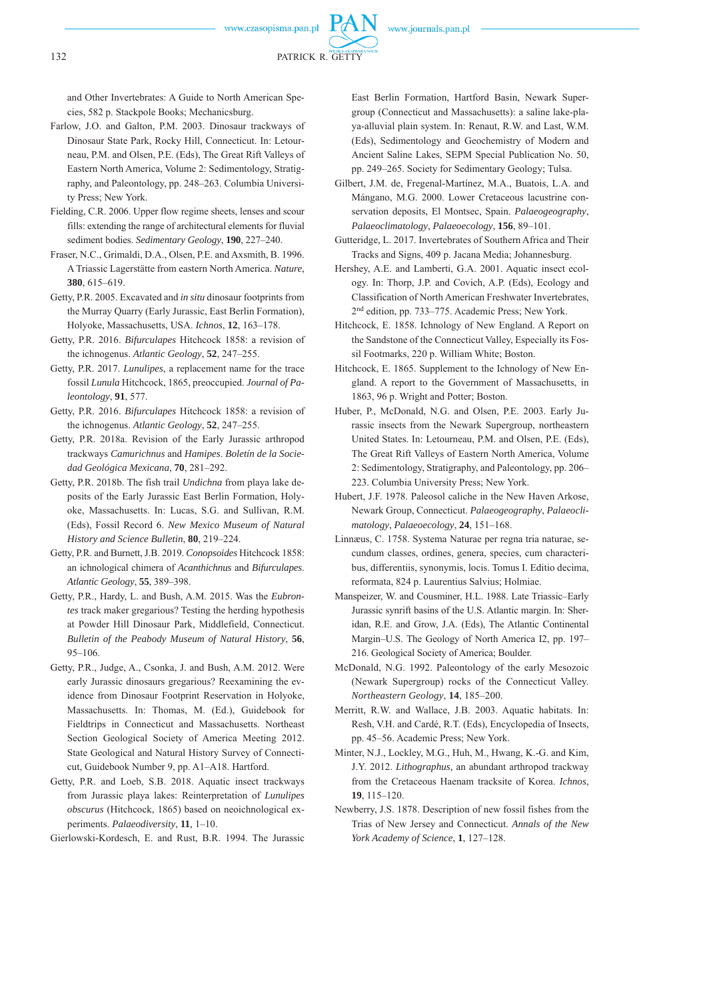

132 PATRICK R. GETTY

and Other Invertebrates: A Guide to North American Species, 582 p. Stackpole Books; Mechanicsburg.

- Farlow, J.O. and Galton, P.M. 2003. Dinosaur trackways of Dinosaur State Park, Rocky Hill, Connecticut. In: Letourneau, P.M. and Olsen, P.E. (Eds), The Great Rift Valleys of Eastern North America, Volume 2: Sedimentology, Stratigraphy, and Paleontology, pp. 248–263. Columbia University Press; New York.
- Fielding, C.R. 2006. Upper flow regime sheets, lenses and scour fills: extending the range of architectural elements for fluvial sediment bodies. *Sedimentary Geology*, **190**, 227–240.
- Fraser, N.C., Grimaldi, D.A., Olsen, P.E. and Axsmith, B. 1996. A Triassic Lagerstätte from eastern North America. *Nature*, **380**, 615–619.
- Getty, P.R. 2005. Excavated and *in situ* dinosaur footprints from the Murray Quarry (Early Jurassic, East Berlin Formation), Holyoke, Massachusetts, USA. *Ichnos*, **12**, 163–178.
- Getty, P.R. 2016. *Bifurculapes* Hitchcock 1858: a revision of the ichnogenus. *Atlantic Geology*, **52**, 247–255.
- Getty, P.R. 2017. *Lunulipes*, a replacement name for the trace fossil *Lunula* Hitchcock, 1865, preoccupied. *Journal of Paleontology*, **91**, 577.
- Getty, P.R. 2016. *Bifurculapes* Hitchcock 1858: a revision of the ichnogenus. *Atlantic Geology*, **52**, 247–255.
- Getty, P.R. 2018a. Revision of the Early Jurassic arthropod trackways *Camurichnus* and *Hamipes*. *Boletín de la Sociedad Geológica Mexicana*, **70**, 281–292.
- Getty, P.R. 2018b. The fish trail *Undichna* from playa lake deposits of the Early Jurassic East Berlin Formation, Holyoke, Massachusetts. In: Lucas, S.G. and Sullivan, R.M. (Eds), Fossil Record 6. *New Mexico Museum of Natural History and Science Bulletin*, **80**, 219–224.
- Getty, P.R. and Burnett, J.B. 2019. *Conopsoides* Hitchcock 1858: an ichnological chimera of *Acanthichnus* and *Bifurculapes*. *Atlantic Geology*, **55**, 389–398.
- Getty, P.R., Hardy, L. and Bush, A.M. 2015. Was the *Eubrontes* track maker gregarious? Testing the herding hypothesis at Powder Hill Dinosaur Park, Middlefield, Connecticut. *Bulletin of the Peabody Museum of Natural History*, **56**, 95–106.
- Getty, P.R., Judge, A., Csonka, J. and Bush, A.M. 2012. Were early Jurassic dinosaurs gregarious? Reexamining the evidence from Dinosaur Footprint Reservation in Holyoke, Massachusetts. In: Thomas, M. (Ed.), Guidebook for Fieldtrips in Connecticut and Massachusetts. Northeast Section Geological Society of America Meeting 2012. State Geological and Natural History Survey of Connecticut, Guidebook Number 9, pp. A1–A18. Hartford.
- Getty, P.R. and Loeb, S.B. 2018. Aquatic insect trackways from Jurassic playa lakes: Reinterpretation of *Lunulipes obscurus* (Hitchcock, 1865) based on neoichnological experiments. *Palaeodiversity*, **11**, 1–10.

Gierlowski-Kordesch, E. and Rust, B.R. 1994. The Jurassic

East Berlin Formation, Hartford Basin, Newark Supergroup (Connecticut and Massachusetts): a saline lake-playa-alluvial plain system. In: Renaut, R.W. and Last, W.M. (Eds), Sedimentology and Geochemistry of Modern and Ancient Saline Lakes, SEPM Special Publication No. 50, pp. 249–265. Society for Sedimentary Geology; Tulsa.

- Gilbert, J.M. de, Fregenal-Martínez, M.A., Buatois, L.A. and Mángano, M.G. 2000. Lower Cretaceous lacustrine conservation deposits, El Montsec, Spain. *Palaeogeography*, *Palaeoclimatology*, *Palaeoecology*, **156**, 89–101.
- Gutteridge, L. 2017. Invertebrates of Southern Africa and Their Tracks and Signs, 409 p. Jacana Media; Johannesburg.
- Hershey, A.E. and Lamberti, G.A. 2001. Aquatic insect ecology. In: Thorp, J.P. and Covich, A.P. (Eds), Ecology and Classification of North American Freshwater Invertebrates, 2nd edition, pp. 733–775. Academic Press; New York.
- Hitchcock, E. 1858. Ichnology of New England. A Report on the Sandstone of the Connecticut Valley, Especially its Fossil Footmarks, 220 p. William White; Boston.
- Hitchcock, E. 1865. Supplement to the Ichnology of New England. A report to the Government of Massachusetts, in 1863, 96 p. Wright and Potter; Boston.
- Huber, P., McDonald, N.G. and Olsen, P.E. 2003. Early Jurassic insects from the Newark Supergroup, northeastern United States. In: Letourneau, P.M. and Olsen, P.E. (Eds), The Great Rift Valleys of Eastern North America, Volume 2: Sedimentology, Stratigraphy, and Paleontology, pp. 206– 223. Columbia University Press; New York.
- Hubert, J.F. 1978. Paleosol caliche in the New Haven Arkose, Newark Group, Connecticut. *Palaeogeography*, *Palaeoclimatology*, *Palaeoecology*, **24**, 151–168.
- Linnæus, C. 1758. Systema Naturae per regna tria naturae, secundum classes, ordines, genera, species, cum characteribus, differentiis, synonymis, locis. Tomus I. Editio decima, reformata, 824 p. Laurentius Salvius; Holmiae.
- Manspeizer, W. and Cousminer, H.L. 1988. Late Triassic–Early Jurassic synrift basins of the U.S. Atlantic margin. In: Sheridan, R.E. and Grow, J.A. (Eds), The Atlantic Continental Margin–U.S. The Geology of North America I2, pp. 197– 216. Geological Society of America; Boulder.
- McDonald, N.G. 1992. Paleontology of the early Mesozoic (Newark Supergroup) rocks of the Connecticut Valley. *North eastern Geology*, **14**, 185–200.
- Merritt, R.W. and Wallace, J.B. 2003. Aquatic habitats. In: Resh, V.H. and Cardé, R.T. (Eds), Encyclopedia of Insects, pp. 45–56. Academic Press; New York.
- Minter, N.J., Lockley, M.G., Huh, M., Hwang, K.-G. and Kim, J.Y. 2012. *Lithographus,* an abundant arthropod trackway from the Cretaceous Haenam tracksite of Korea. *Ichnos*, **19**, 115–120.
- Newberry, J.S. 1878. Description of new fossil fishes from the Trias of New Jersey and Connecticut. *Annals of the New York Academy of Science*, **1**, 127–128.